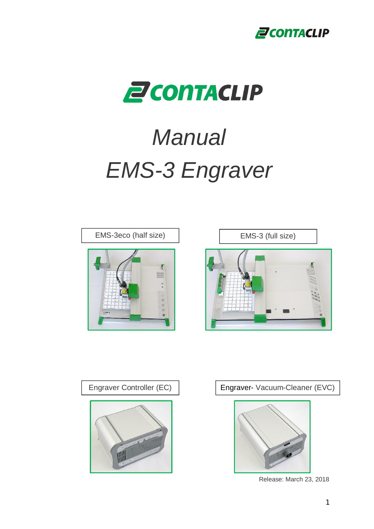



# *Manual EMS-3 Engraver*







Engraver Controller (EC) | Engraver- Vacuum-Cleaner (EVC)



Release: March 23, 2018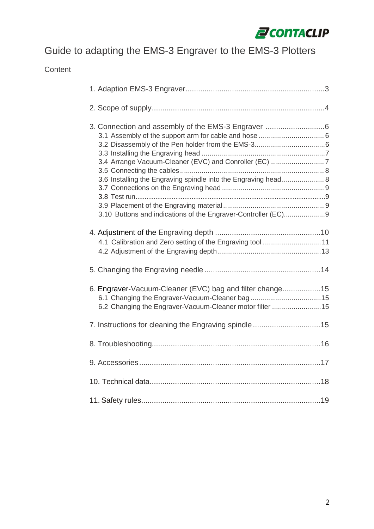

# Guide to adapting the EMS-3 Engraver to the EMS-3 Plotters

Content

| 3.4 Arrange Vacuum-Cleaner (EVC) and Conroller (EC) 7<br>3.6 Installing the Engraving spindle into the Engraving head8<br>3.10 Buttons and indications of the Engraver-Controller (EC)9 |  |
|-----------------------------------------------------------------------------------------------------------------------------------------------------------------------------------------|--|
|                                                                                                                                                                                         |  |
| 6. Engraver-Vacuum-Cleaner (EVC) bag and filter change15<br>6.2 Changing the Engraver-Vacuum-Cleaner motor filter 15                                                                    |  |
| 7. Instructions for cleaning the Engraving spindle15                                                                                                                                    |  |
|                                                                                                                                                                                         |  |
|                                                                                                                                                                                         |  |
|                                                                                                                                                                                         |  |
|                                                                                                                                                                                         |  |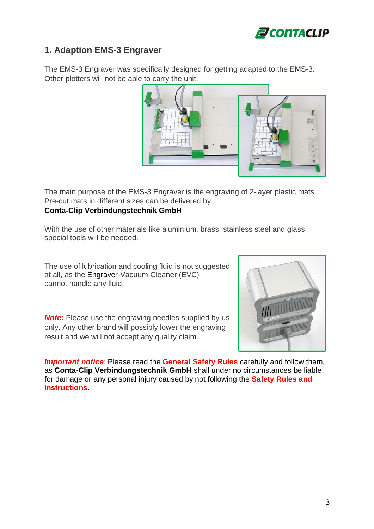

## **1. Adaption EMS-3 Engraver**

The EMS-3 Engraver was specifically designed for getting adapted to the EMS-3. Other plotters will not be able to carry the unit.



The main purpose of the EMS-3 Engraver is the engraving of 2-layer plastic mats. Pre-cut mats in different sizes can be delivered by **Conta-Clip Verbindungstechnik GmbH**

With the use of other materials like aluminium, brass, stainless steel and glass special tools will be needed.

The use of lubrication and cooling fluid is not suggested at all, as the Engraver-Vacuum-Cleaner (EVC) cannot handle any fluid.

**Note:** Please use the engraving needles supplied by us only. Any other brand will possibly lower the engraving result and we will not accept any quality claim.



*Important notice:* Please read the **General Safety Rules** carefully and follow them, as **Conta-Clip Verbindungstechnik GmbH** shall under no circumstances be liable for damage or any personal injury caused by not following the **Safety Rules and Instructions**.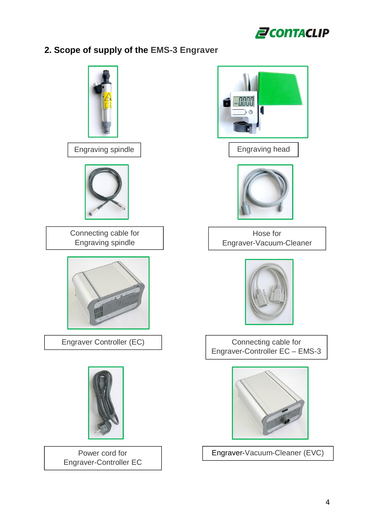

## **2. Scope of supply of the EMS-3 Engraver**

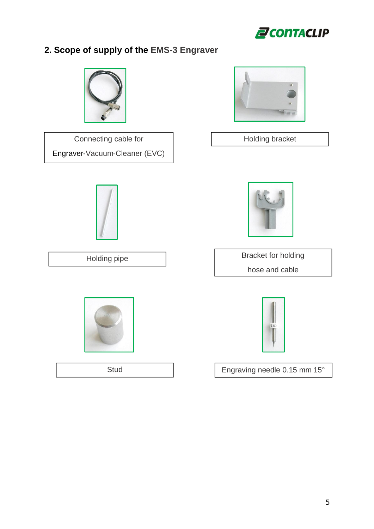

# **2. Scope of supply of the EMS-3 Engraver**



Connecting cable for Engraver-Vacuum-Cleaner (EVC)







Holding bracket



Holding pipe Bracket for holding hose and cable



Stud **Engraving needle 0.15 mm 15°**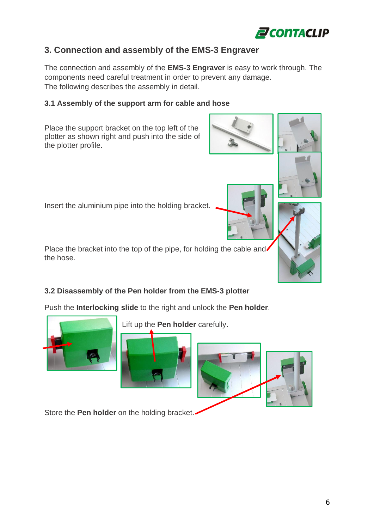

## **3. Connection and assembly of the EMS-3 Engraver**

The connection and assembly of the **EMS-3 Engraver** is easy to work through. The components need careful treatment in order to prevent any damage. The following describes the assembly in detail.

## **3.1 Assembly of the support arm for cable and hose**

Place the support bracket on the top left of the plotter as shown right and push into the side of the plotter profile.

Insert the aluminium pipe into the holding bracket.

Place the bracket into the top of the pipe, for holding the cable and the hose.

## **3.2 Disassembly of the Pen holder from the EMS-3 plotter**

Push the **Interlocking slide** to the right and unlock the **Pen holder**.



Store the **Pen holder** on the holding bracket.







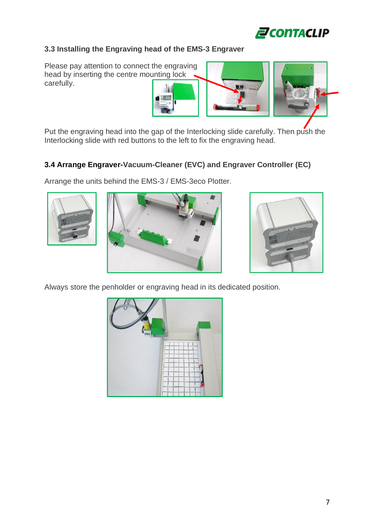

## **3.3 Installing the Engraving head of the EMS-3 Engraver**

Please pay attention to connect the engraving head by inserting the centre mounting lock carefully.



Put the engraving head into the gap of the Interlocking slide carefully. Then push the Interlocking slide with red buttons to the left to fix the engraving head.

## **3.4 Arrange Engraver-Vacuum-Cleaner (EVC) and Engraver Controller (EC)**

Arrange the units behind the EMS-3 / EMS-3eco Plotter.







Always store the penholder or engraving head in its dedicated position.

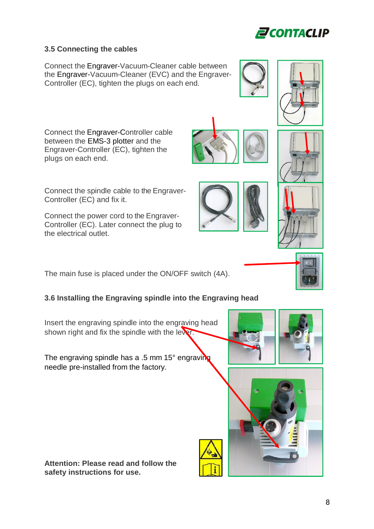## **3.5 Connecting the cables**

Connect the Engraver-Vacuum-Cleaner cable between the Engraver-Vacuum-Cleaner (EVC) and the Engraver-Controller (EC), tighten the plugs on each end.

Engraver-Controller (EC), tighten the plugs on each end.

Connect the Engraver-Controller cable between the EMS-3 plotter and the

Connect the spindle cable to the Engraver-Controller (EC) and fix it.

Connect the power cord to the Engraver-Controller (EC). Later connect the plug to the electrical outlet.

The main fuse is placed under the ON/OFF switch (4A).

## **3.6 Installing the Engraving spindle into the Engraving head**

Insert the engraving spindle into the engraving head shown right and fix the spindle with the lever.

The engraving spindle has a .5 mm 15° engraving needle pre-installed from the factory.

**Attention: Please read and follow the safety instructions for use.**















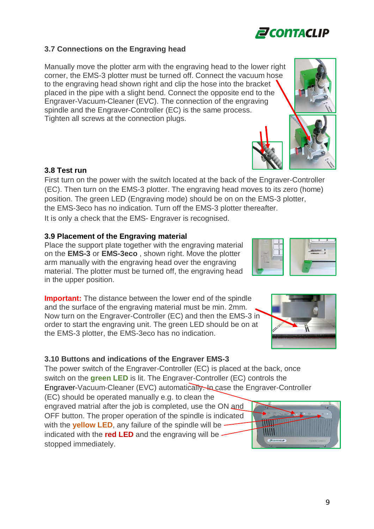## **3.7 Connections on the Engraving head**

Manually move the plotter arm with the engraving head to the lower right corner, the EMS-3 plotter must be turned off. Connect the vacuum hose to the engraving head shown right and clip the hose into the bracket placed in the pipe with a slight bend. Connect the opposite end to the Engraver-Vacuum-Cleaner (EVC). The connection of the engraving spindle and the Engraver-Controller (EC) is the same process. Tighten all screws at the connection plugs.

## **3.8 Test run**

First turn on the power with the switch located at the back of the Engraver-Controller (EC). Then turn on the EMS-3 plotter. The engraving head moves to its zero (home) position. The green LED (Engraving mode) should be on on the EMS-3 plotter, the EMS-3eco has no indication. Turn off the EMS-3 plotter thereafter. It is only a check that the EMS- Engraver is recognised.

## **3.9 Placement of the Engraving material**

Place the support plate together with the engraving material on the **EMS-3** or **EMS-3eco** , shown right. Move the plotter arm manually with the engraving head over the engraving material. The plotter must be turned off, the engraving head in the upper position.

**Important:** The distance between the lower end of the spindle and the surface of the engraving material must be min. 2mm. Now turn on the Engraver-Controller (EC) and then the EMS-3 in order to start the engraving unit. The green LED should be on at the EMS-3 plotter, the EMS-3eco has no indication.

## **3.10 Buttons and indications of the Engraver EMS-3**

The power switch of the Engraver-Controller (EC) is placed at the back, once switch on the **green LED** is lit. The Engraver-Controller (EC) controls the Engraver-Vacuum-Cleaner (EVC) automatically. In case the Engraver-Controller (EC) should be operated manually e.g. to clean the

engraved matrial after the job is completed, use the ON and OFF button. The proper operation of the spindle is indicated with the **yellow LED**, any failure of the spindle will be indicated with the **red LED** and the engraving will be stopped immediately.









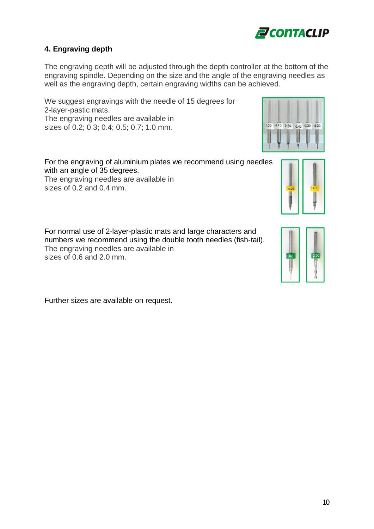

## **4. Engraving depth**

The engraving depth will be adjusted through the depth controller at the bottom of the engraving spindle. Depending on the size and the angle of the engraving needles as well as the engraving depth, certain engraving widths can be achieved.

We suggest engravings with the needle of 15 degrees for 2-layer-pastic mats. The engraving needles are available in sizes of 0.2; 0.3; 0.4; 0.5; 0.7; 1.0 mm.

For the engraving of aluminium plates we recommend using needles with an angle of 35 degrees.

The engraving needles are available in sizes of 0.2 and 0.4 mm.

 $1.00$  0.70 0.50 0.40 0.30 0.20



For normal use of 2-layer-plastic mats and large characters and numbers we recommend using the double tooth needles (fish-tail). The engraving needles are available in sizes of 0.6 and 2.0 mm.



Further sizes are available on request.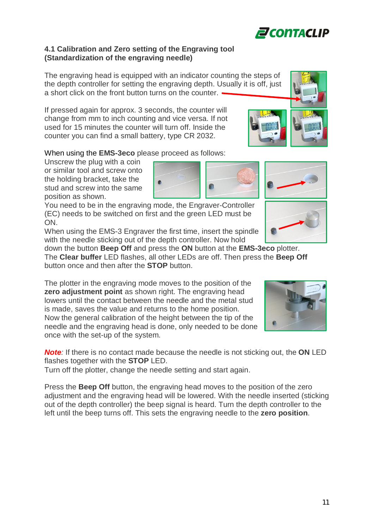## **4.1 Calibration and Zero setting of the Engraving tool (Standardization of the engraving needle)**

The engraving head is equipped with an indicator counting the steps of the depth controller for setting the engraving depth. Usually it is off, just a short click on the front button turns on the counter.  $\cdot$ 

If pressed again for approx. 3 seconds, the counter will change from mm to inch counting and vice versa. If not used for 15 minutes the counter will turn off. Inside the counter you can find a small battery, type CR 2032.

## When using the **EMS-3eco** please proceed as follows:

Unscrew the plug with a coin or similar tool and screw onto the holding bracket, take the stud and screw into the same position as shown.

You need to be in the engraving mode, the Engraver-Controller (EC) needs to be switched on first and the green LED must be ON.

When using the EMS-3 Engraver the first time, insert the spindle with the needle sticking out of the depth controller. Now hold

down the button **Beep Off** and press the **ON** button at the **EMS-3eco** plotter. The **Clear buffer** LED flashes, all other LEDs are off. Then press the **Beep Off** button once and then after the **STOP** button.

The plotter in the engraving mode moves to the position of the **zero adjustment point** as shown right. The engraving head lowers until the contact between the needle and the metal stud is made, saves the value and returns to the home position. Now the general calibration of the height between the tip of the needle and the engraving head is done, only needed to be done once with the set-up of the system.

*Note:* If there is no contact made because the needle is not sticking out, the **ON** LED flashes together with the **STOP** LED.

Turn off the plotter, change the needle setting and start again.

Press the **Beep Off** button, the engraving head moves to the position of the zero adjustment and the engraving head will be lowered. With the needle inserted (sticking out of the depth controller) the beep signal is heard. Turn the depth controller to the left until the beep turns off. This sets the engraving needle to the **zero position**.









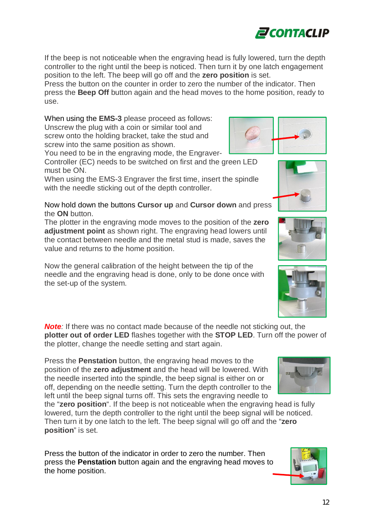If the beep is not noticeable when the engraving head is fully lowered, turn the depth controller to the right until the beep is noticed. Then turn it by one latch engagement position to the left. The beep will go off and the **zero position** is set.

Press the button on the counter in order to zero the number of the indicator. Then press the **Beep Off** button again and the head moves to the home position, ready to use.

When using the **EMS-3** please proceed as follows: Unscrew the plug with a coin or similar tool and screw onto the holding bracket, take the stud and screw into the same position as shown.

You need to be in the engraving mode, the Engraver-Controller (EC) needs to be switched on first and the green LED

must be ON. When using the EMS-3 Engraver the first time, insert the spindle

with the needle sticking out of the depth controller.

Now hold down the buttons **Cursor up** and **Cursor down** and press the **ON** button.

The plotter in the engraving mode moves to the position of the **zero adjustment point** as shown right. The engraving head lowers until the contact between needle and the metal stud is made, saves the value and returns to the home position.

Now the general calibration of the height between the tip of the needle and the engraving head is done, only to be done once with the set-up of the system.

**Note**: If there was no contact made because of the needle not sticking out, the **plotter out of order LED** flashes together with the **STOP LED**. Turn off the power of the plotter, change the needle setting and start again.

Press the **Penstation** button, the engraving head moves to the position of the **zero adjustment** and the head will be lowered. With the needle inserted into the spindle, the beep signal is either on or off, depending on the needle setting. Turn the depth controller to the left until the beep signal turns off. This sets the engraving needle to

the "**zero position**". If the beep is not noticeable when the engraving head is fully lowered, turn the depth controller to the right until the beep signal will be noticed. Then turn it by one latch to the left. The beep signal will go off and the "**zero position**" is set.

Press the button of the indicator in order to zero the number. Then press the **Penstation** button again and the engraving head moves to the home position.









**ZCONTACLIP** 

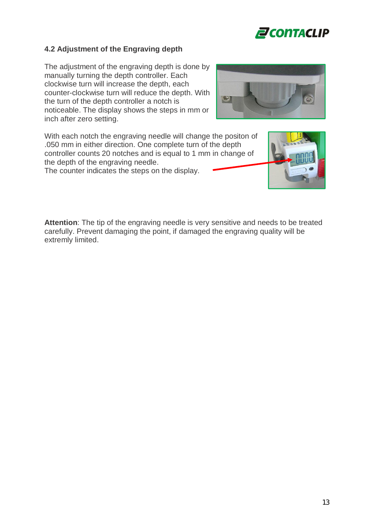

## **4.2 Adjustment of the Engraving depth**

The adjustment of the engraving depth is done by manually turning the depth controller. Each clockwise turn will increase the depth, each counter-clockwise turn will reduce the depth. With the turn of the depth controller a notch is noticeable. The display shows the steps in mm or inch after zero setting.



With each notch the engraving needle will change the positon of .050 mm in either direction. One complete turn of the depth controller counts 20 notches and is equal to 1 mm in change of the depth of the engraving needle.

The counter indicates the steps on the display.



**Attention**: The tip of the engraving needle is very sensitive and needs to be treated carefully. Prevent damaging the point, if damaged the engraving quality will be extremly limited.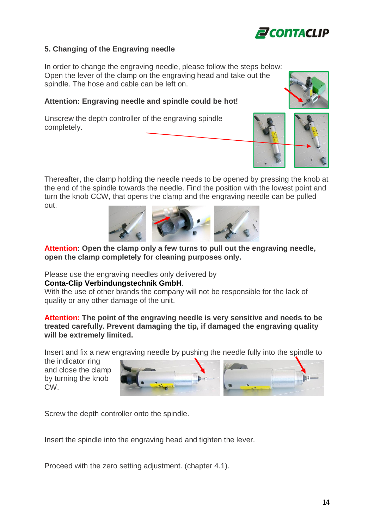

## **5. Changing of the Engraving needle**

In order to change the engraving needle, please follow the steps below: Open the lever of the clamp on the engraving head and take out the spindle. The hose and cable can be left on.

## **Attention: Engraving needle and spindle could be hot!**

Unscrew the depth controller of the engraving spindle completely.



Thereafter, the clamp holding the needle needs to be opened by pressing the knob at the end of the spindle towards the needle. Find the position with the lowest point and turn the knob CCW, that opens the clamp and the engraving needle can be pulled out.



## **Attention: Open the clamp only a few turns to pull out the engraving needle, open the clamp completely for cleaning purposes only.**

Please use the engraving needles only delivered by

#### **Conta-Clip Verbindungstechnik GmbH**.

With the use of other brands the company will not be responsible for the lack of quality or any other damage of the unit.

#### **Attention: The point of the engraving needle is very sensitive and needs to be treated carefully. Prevent damaging the tip, if damaged the engraving quality will be extremely limited.**

Insert and fix a new engraving needle by pushing the needle fully into the spindle to

the indicator ring and close the clamp by turning the knob CW.



Screw the depth controller onto the spindle.

Insert the spindle into the engraving head and tighten the lever.

Proceed with the zero setting adjustment. (chapter 4.1).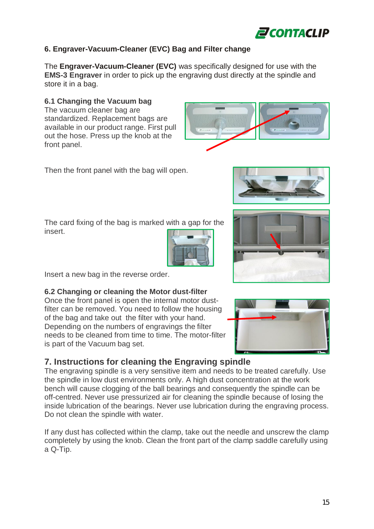

**ZCONTACLIP** 

## **6. Engraver-Vacuum-Cleaner (EVC) Bag and Filter change**

The **Engraver-Vacuum-Cleaner (EVC)** was specifically designed for use with the **EMS-3 Engraver** in order to pick up the engraving dust directly at the spindle and store it in a bag.

## **6.1 Changing the Vacuum bag**

The vacuum cleaner bag are standardized. Replacement bags are available in our product range. First pull out the hose. Press up the knob at the front panel.

Then the front panel with the bag will open.

The card fixing of the bag is marked with a gap for the insert.



Insert a new bag in the reverse order.

## **6.2 Changing or cleaning the Motor dust-filter**

Once the front panel is open the internal motor dustfilter can be removed. You need to follow the housing of the bag and take out the filter with your hand. Depending on the numbers of engravings the filter needs to be cleaned from time to time. The motor-filter is part of the Vacuum bag set.

## **7. Instructions for cleaning the Engraving spindle**

The engraving spindle is a very sensitive item and needs to be treated carefully. Use the spindle in low dust environments only. A high dust concentration at the work bench will cause clogging of the ball bearings and consequently the spindle can be off-centred. Never use pressurized air for cleaning the spindle because of losing the inside lubrication of the bearings. Never use lubrication during the engraving process. Do not clean the spindle with water.

If any dust has collected within the clamp, take out the needle and unscrew the clamp completely by using the knob. Clean the front part of the clamp saddle carefully using a Q-Tip.





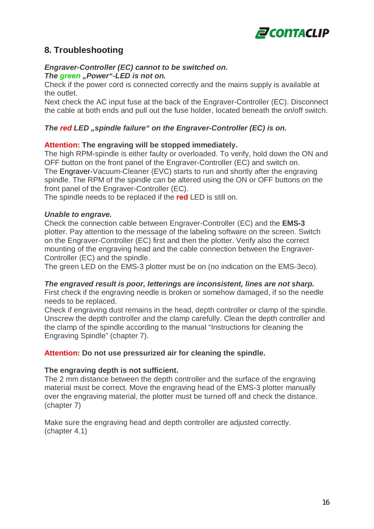

## **8. Troubleshooting**

#### *Engraver-Controller (EC) cannot to be switched on. The green* "Power"-LED is not on.

Check if the power cord is connected correctly and the mains supply is available at the outlet.

Next check the AC input fuse at the back of the Engraver-Controller (EC). Disconnect the cable at both ends and pull out the fuse holder, located beneath the on/off switch.

## *The red LED* "spindle failure" on the Engraver-Controller (EC) is on.

## **Attention: The engraving will be stopped immediately.**

The high RPM-spindle is either faulty or overloaded. To verify, hold down the ON and OFF button on the front panel of the Engraver-Controller (EC) and switch on. The Engraver-Vacuum-Cleaner (EVC) starts to run and shortly after the engraving spindle. The RPM of the spindle can be altered using the ON or OFF buttons on the front panel of the Engraver-Controller (EC).

The spindle needs to be replaced if the **red** LED is still on.

#### *Unable to engrave.*

Check the connection cable between Engraver-Controller (EC) and the **EMS-3** plotter. Pay attention to the message of the labeling software on the screen. Switch on the Engraver-Controller (EC) first and then the plotter. Verify also the correct mounting of the engraving head and the cable connection between the Engraver-Controller (EC) and the spindle.

The green LED on the EMS-3 plotter must be on (no indication on the EMS-3eco).

#### *The engraved result is poor, letterings are inconsistent, lines are not sharp.*

First check if the engraving needle is broken or somehow damaged, if so the needle needs to be replaced.

Check if engraving dust remains in the head, depth controller or clamp of the spindle. Unscrew the depth controller and the clamp carefully. Clean the depth controller and the clamp of the spindle according to the manual "Instructions for cleaning the Engraving Spindle" (chapter 7).

#### **Attention: Do not use pressurized air for cleaning the spindle.**

#### **The engraving depth is not sufficient.**

The 2 mm distance between the depth controller and the surface of the engraving material must be correct. Move the engraving head of the EMS-3 plotter manually over the engraving material, the plotter must be turned off and check the distance. (chapter 7)

Make sure the engraving head and depth controller are adjusted correctly. (chapter 4.1)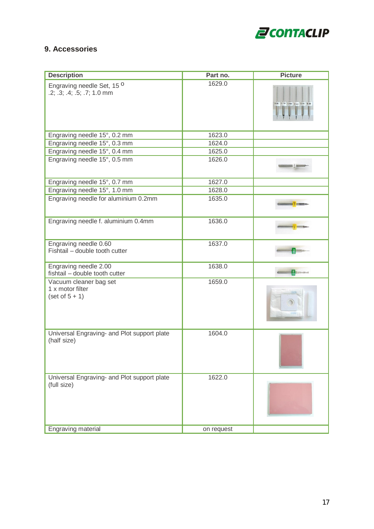

## **9. Accessories**

| <b>Description</b>                                                  | Part no.   | <b>Picture</b>                |
|---------------------------------------------------------------------|------------|-------------------------------|
| Engraving needle Set, 15 <sup>0</sup><br>.2; .3; .4; .5; .7; 1.0 mm | 1629.0     | 1.00 0.70 0.50 0.40 0.30 0.20 |
| Engraving needle 15°, 0.2 mm                                        | 1623.0     |                               |
| Engraving needle 15°, 0.3 mm                                        | 1624.0     |                               |
| Engraving needle 15°, 0.4 mm                                        | 1625.0     |                               |
| Engraving needle 15°, 0.5 mm                                        | 1626.0     |                               |
| Engraving needle 15°, 0.7 mm                                        | 1627.0     |                               |
| Engraving needle 15°, 1.0 mm                                        | 1628.0     |                               |
| Engraving needle for aluminium 0.2mm                                | 1635.0     |                               |
| Engraving needle f. aluminium 0.4mm                                 | 1636.0     |                               |
| Engraving needle 0.60<br>Fishtail - double tooth cutter             | 1637.0     |                               |
| Engraving needle 2.00<br>fishtail - double tooth cutter             | 1638.0     |                               |
| Vacuum cleaner bag set<br>1 x motor filter<br>$(set of 5 + 1)$      | 1659.0     |                               |
| Universal Engraving- and Plot support plate<br>(half size)          | 1604.0     |                               |
| Universal Engraving- and Plot support plate<br>(full size)          | 1622.0     |                               |
| Engraving material                                                  | on request |                               |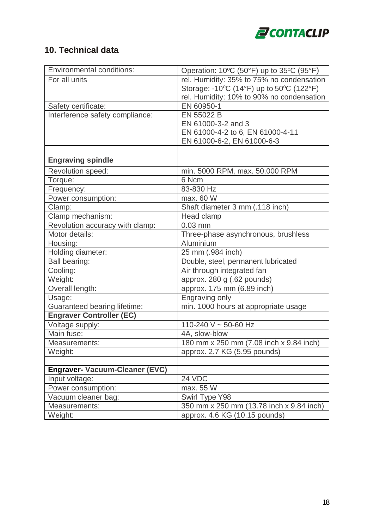

# **10. Technical data**

| <b>Environmental conditions:</b>      | Operation: 10°C (50°F) up to 35°C (95°F)  |
|---------------------------------------|-------------------------------------------|
| For all units                         | rel. Humidity: 35% to 75% no condensation |
|                                       | Storage: -10°C (14°F) up to 50°C (122°F)  |
|                                       | rel. Humidity: 10% to 90% no condensation |
| Safety certificate:                   | EN 60950-1                                |
| Interference safety compliance:       | EN 55022 B                                |
|                                       | EN 61000-3-2 and 3                        |
|                                       | EN 61000-4-2 to 6, EN 61000-4-11          |
|                                       | EN 61000-6-2, EN 61000-6-3                |
|                                       |                                           |
| <b>Engraving spindle</b>              |                                           |
| Revolution speed:                     | min. 5000 RPM, max. 50.000 RPM            |
| Torque:                               | 6 Ncm                                     |
| Frequency:                            | 83-830 Hz                                 |
| Power consumption:                    | max. 60 W                                 |
| Clamp:                                | Shaft diameter 3 mm (.118 inch)           |
| Clamp mechanism:                      | Head clamp                                |
| Revolution accuracy with clamp:       | $0.03$ mm                                 |
| Motor details:                        | Three-phase asynchronous, brushless       |
| Housing:                              | Aluminium                                 |
| Holding diameter:                     | 25 mm (.984 inch)                         |
| <b>Ball bearing:</b>                  | Double, steel, permanent lubricated       |
| Cooling:                              | Air through integrated fan                |
| Weight:                               | approx. 280 g (.62 pounds)                |
| Overall length:                       | approx. 175 mm (6.89 inch)                |
| Usage:                                | Engraving only                            |
| <b>Guaranteed bearing lifetime:</b>   | min. 1000 hours at appropriate usage      |
| <b>Engraver Controller (EC)</b>       |                                           |
| Voltage supply:                       | 110-240 V ~ 50-60 Hz                      |
| Main fuse:                            | 4A, slow-blow                             |
| Measurements:                         | 180 mm x 250 mm (7.08 inch x 9.84 inch)   |
| Weight:                               | approx. 2.7 KG (5.95 pounds)              |
|                                       |                                           |
| <b>Engraver- Vacuum-Cleaner (EVC)</b> |                                           |
| Input voltage:                        | 24 VDC                                    |
| Power consumption:                    | max. 55 W                                 |
| Vacuum cleaner bag:                   | Swirl Type Y98                            |
| Measurements:                         | 350 mm x 250 mm (13.78 inch x 9.84 inch)  |
| Weight:                               | approx. 4.6 KG (10.15 pounds)             |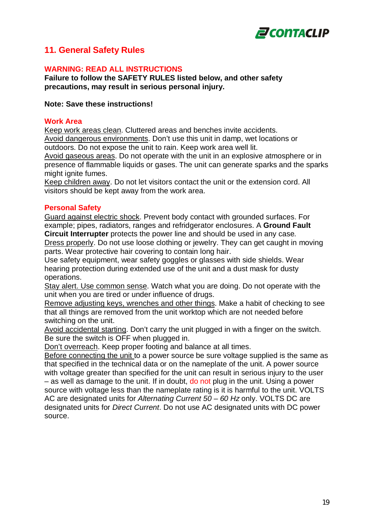

## **11. General Safety Rules**

#### **WARNING: READ ALL INSTRUCTIONS**

**Failure to follow the SAFETY RULES listed below, and other safety precautions, may result in serious personal injury.**

#### **Note: Save these instructions!**

#### **Work Area**

Keep work areas clean. Cluttered areas and benches invite accidents. Avoid dangerous environments. Don't use this unit in damp, wet locations or outdoors. Do not expose the unit to rain. Keep work area well lit.

Avoid gaseous areas. Do not operate with the unit in an explosive atmosphere or in presence of flammable liquids or gases. The unit can generate sparks and the sparks might ignite fumes.

Keep children away. Do not let visitors contact the unit or the extension cord. All visitors should be kept away from the work area.

#### **Personal Safety**

Guard against electric shock. Prevent body contact with grounded surfaces. For example; pipes, radiators, ranges and refridgerator enclosures. A **Ground Fault Circuit Interrupter** protects the power line and should be used in any case.

Dress properly. Do not use loose clothing or jewelry. They can get caught in moving parts. Wear protective hair covering to contain long hair.

Use safety equipment, wear safety goggles or glasses with side shields. Wear hearing protection during extended use of the unit and a dust mask for dusty operations.

Stay alert. Use common sense. Watch what you are doing. Do not operate with the unit when you are tired or under influence of drugs.

Remove adjusting keys, wrenches and other things. Make a habit of checking to see that all things are removed from the unit worktop which are not needed before switching on the unit.

Avoid accidental starting. Don't carry the unit plugged in with a finger on the switch. Be sure the switch is OFF when plugged in.

Don't overreach. Keep proper footing and balance at all times.

Before connecting the unit to a power source be sure voltage supplied is the same as that specified in the technical data or on the nameplate of the unit. A power source with voltage greater than specified for the unit can result in serious injury to the user – as well as damage to the unit. If in doubt, do not plug in the unit. Using a power source with voltage less than the nameplate rating is it is harmful to the unit. VOLTS AC are designated units for *Alternating Current 50 – 60 Hz* only. VOLTS DC are designated units for *Direct Current*. Do not use AC designated units with DC power source.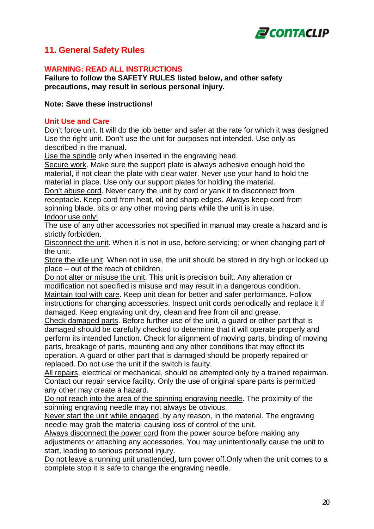

## **11. General Safety Rules**

## **WARNING: READ ALL INSTRUCTIONS**

**Failure to follow the SAFETY RULES listed below, and other safety precautions, may result in serious personal injury.**

#### **Note: Save these instructions!**

#### **Unit Use and Care**

Don't force unit. It will do the job better and safer at the rate for which it was designed Use the right unit. Don't use the unit for purposes not intended. Use only as described in the manual.

Use the spindle only when inserted in the engraving head.

Secure work. Make sure the support plate is always adhesive enough hold the material, if not clean the plate with clear water. Never use your hand to hold the material in place. Use only our support plates for holding the material.

Don't abuse cord. Never carry the unit by cord or yank it to disconnect from receptacle. Keep cord from heat, oil and sharp edges. Always keep cord from spinning blade, bits or any other moving parts while the unit is in use. Indoor use only!

The use of any other accessories not specified in manual may create a hazard and is strictly forbidden.

Disconnect the unit. When it is not in use, before servicing; or when changing part of the unit.

Store the idle unit. When not in use, the unit should be stored in dry high or locked up place – out of the reach of children.

Do not alter or misuse the unit. This unit is precision built. Any alteration or modification not specified is misuse and may result in a dangerous condition. Maintain tool with care. Keep unit clean for better and safer performance. Follow instructions for changing accessories. Inspect unit cords periodically and replace it if damaged. Keep engraving unit dry, clean and free from oil and grease.

Check damaged parts. Before further use of the unit, a guard or other part that is damaged should be carefully checked to determine that it will operate properly and perform its intended function. Check for alignment of moving parts, binding of moving parts, breakage of parts, mounting and any other conditions that may effect its operation. A guard or other part that is damaged should be properly repaired or replaced. Do not use the unit if the switch is faulty.

All repairs, electrical or mechanical, should be attempted only by a trained repairman. Contact our repair service facility. Only the use of original spare parts is permitted any other may create a hazard.

Do not reach into the area of the spinning engraving needle. The proximity of the spinning engraving needle may not always be obvious.

Never start the unit while engaged, by any reason, in the material. The engraving needle may grab the material causing loss of control of the unit.

Always disconnect the power cord from the power source before making any adjustments or attaching any accessories. You may unintentionally cause the unit to start, leading to serious personal injury.

Do not leave a running unit unattended, turn power off.Only when the unit comes to a complete stop it is safe to change the engraving needle.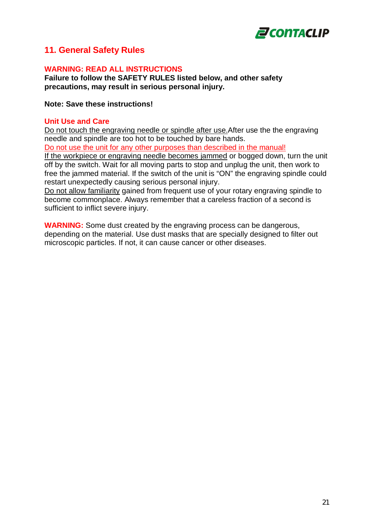

## **11. General Safety Rules**

#### **WARNING: READ ALL INSTRUCTIONS**

**Failure to follow the SAFETY RULES listed below, and other safety precautions, may result in serious personal injury.**

#### **Note: Save these instructions!**

#### **Unit Use and Care**

Do not touch the engraving needle or spindle after use.After use the the engraving needle and spindle are too hot to be touched by bare hands.

Do not use the unit for any other purposes than described in the manual!

If the workpiece or engraving needle becomes jammed or bogged down, turn the unit off by the switch. Wait for all moving parts to stop and unplug the unit, then work to free the jammed material. If the switch of the unit is "ON" the engraving spindle could restart unexpectedly causing serious personal injury.

Do not allow familiarity gained from frequent use of your rotary engraving spindle to become commonplace. Always remember that a careless fraction of a second is sufficient to inflict severe injury.

**WARNING:** Some dust created by the engraving process can be dangerous, depending on the material. Use dust masks that are specially designed to filter out microscopic particles. If not, it can cause cancer or other diseases.